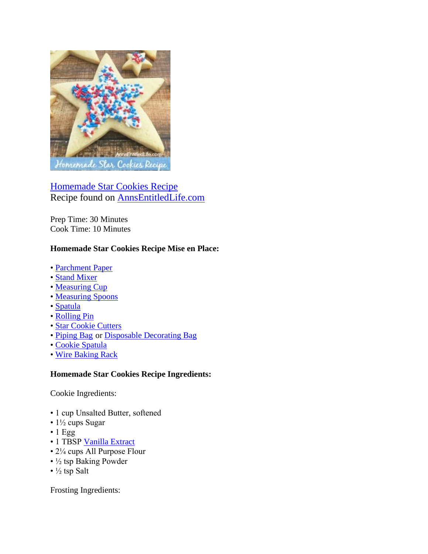

[Homemade Star Cookies Recipe](http://www.annsentitledlife.com/recipes/homemade-star-cookies-recipe/) Recipe found on [AnnsEntitledLife.com](http://www.annsentitledlife.com/recipes/homemade-star-cookies-recipe/)

Prep Time: 30 Minutes Cook Time: 10 Minutes

## **Homemade Star Cookies Recipe Mise en Place:**

- • [Parchment Paper](http://www.amazon.com/Beyond-Gourmet-Unbleached-Parchment-71-Square/dp/B001KUWGDS/?_encoding=UTF8&camp=1789&creative=9325&linkCode=ur2&tag=coudeaandmor-20&linkId=3EXQM72GIS7MJBTG)
- • [Stand Mixer](http://www.amazon.com/s/?_encoding=UTF8&camp=1789&creative=9325&field-keywords=stand%20up%20mixer&linkCode=ur2&tag=coudeaandmor-20&url=search-alias%3Daps&linkId=EMNRC4PHCSVMBMDK)
- • [Measuring Cup](http://www.amazon.com/Pyrex-3-Piece-Glass-Measuring-Cup/dp/B00M2J7PCI/?_encoding=UTF8&camp=1789&creative=9325&linkCode=ur2&tag=coudeaandmor-20&linkId=5MMCBAXFLLVUU6VR)
- • [Measuring Spoons](http://www.amazon.com/s/?_encoding=UTF8&camp=1789&creative=9325&field-keywords=Measuring%20Spoons&linkCode=ur2&rh=i%3Aaps%2Ck%3AMeasuring%20Spoons&tag=coudeaandmor-20&url=search-alias%3Daps&linkId=WRLQKLQAJMIA34XG)
- • [Spatula](http://www.amazon.com/Wilton-570-1121-3-Piece-Silicone-Spatula/dp/B000M8YMEU/?_encoding=UTF8&camp=1789&creative=9325&linkCode=ur2&tag=coudeaandmor-20&linkId=HP6E366UYCIABHYT)
- • [Rolling Pin](http://www.amazon.com/J-K-Adams-FRP-1-French-Rolling/dp/B000IYYFIQ/?_encoding=UTF8&camp=1789&creative=9325&linkCode=ur2&tag=coudeaandmor-20&linkId=XB4PXZQP7GXHS5ON)
- • [Star Cookie Cutters](http://www.amazon.com/Wilton-Stars-Nesting-Metal-Cutter/dp/B0000VMIYA/?_encoding=UTF8&camp=1789&creative=9325&linkCode=ur2&tag=coudeaandmor-20&linkId=3MGSUYE7GYZNHCYW)
- • [Piping Bag](http://www.amazon.com/s/?_encoding=UTF8&camp=1789&creative=9325&field-keywords=piping%20bag&linkCode=ur2&tag=coudeaandmor-20&url=search-alias%3Dkitchen&linkId=O2J4USJJUKQ3XBSZ) or [Disposable Decorating Bag](http://www.amazon.com/Wilton-2104-1358-Disposable-12-inch-Decorating/dp/B0000CFMLT/?_encoding=UTF8&camp=1789&creative=9325&linkCode=ur2&tag=coudeaandmor-20&linkId=INQFBJAWC567B2AV)
- • [Cookie Spatula](http://www.amazon.com/Wilton-2103-360-Cookie-Spatula/dp/B001BOB7Z6/?_encoding=UTF8&camp=1789&creative=9325&linkCode=ur2&tag=coudeaandmor-20&linkId=CLAMFQDCJEGGTZ7Z)
- • [Wire Baking Rack](http://www.amazon.com/s/?_encoding=UTF8&camp=1789&creative=9325&field-keywords=wire%20baking%20rack&linkCode=ur2&sprefix=wire%20bak%2Chpc%2C157&tag=coudeaandmor-20&url=search-alias%3Dgarden&linkId=ZCYRDED7OOUINDQB)

## **Homemade Star Cookies Recipe Ingredients:**

Cookie Ingredients:

- 1 cup Unsalted Butter, softened
- 1½ cups Sugar
- $\cdot$  1 Egg
- 1 TBSP [Vanilla Extract](http://www.annsentitledlife.com/wp-content/uploads/2016/04/homemade-star-cookies-recipe-vertical.jpg)
- 2¼ cups All Purpose Flour
- ½ tsp Baking Powder
- $\frac{1}{2}$  tsp Salt

Frosting Ingredients: